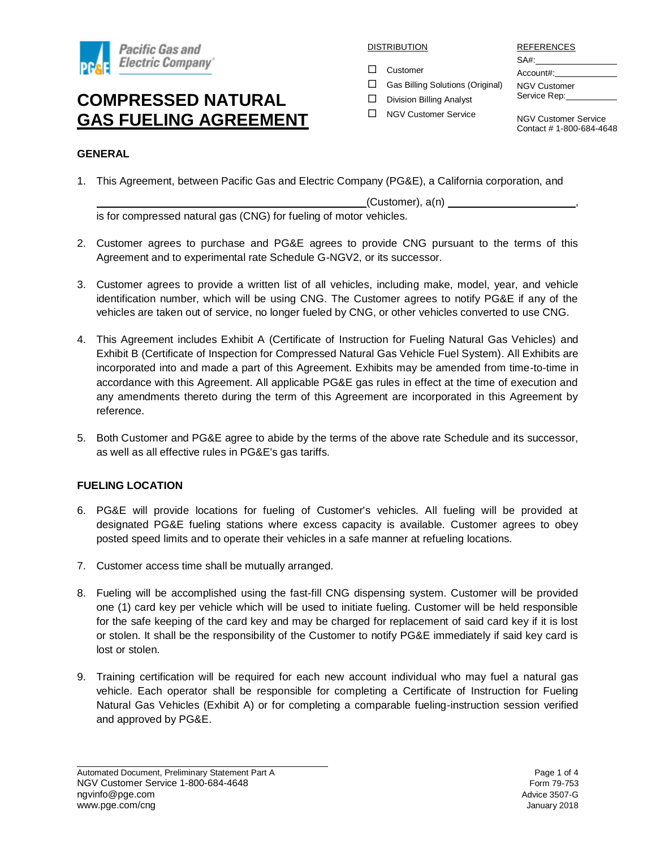

DISTRIBUTION

□ Customer

REFERENCES

SA#: Account#:

- NGV Customer Service Rep:
- $\Box$  Gas Billing Solutions (Original)  $\square$  Division Billing Analyst

□ NGV Customer Service

NGV Customer Service Contact # 1-800-684-4648

### **GENERAL**

1. This Agreement, between Pacific Gas and Electric Company (PG&E), a California corporation, and

(Customer), a(n) is for compressed natural gas (CNG) for fueling of motor vehicles.

- 2. Customer agrees to purchase and PG&E agrees to provide CNG pursuant to the terms of this Agreement and to experimental rate Schedule G-NGV2, or its successor.
- 3. Customer agrees to provide a written list of all vehicles, including make, model, year, and vehicle identification number, which will be using CNG. The Customer agrees to notify PG&E if any of the vehicles are taken out of service, no longer fueled by CNG, or other vehicles converted to use CNG.
- 4. This Agreement includes Exhibit A (Certificate of Instruction for Fueling Natural Gas Vehicles) and Exhibit B (Certificate of Inspection for Compressed Natural Gas Vehicle Fuel System). All Exhibits are incorporated into and made a part of this Agreement. Exhibits may be amended from time-to-time in accordance with this Agreement. All applicable PG&E gas rules in effect at the time of execution and any amendments thereto during the term of this Agreement are incorporated in this Agreement by reference.
- 5. Both Customer and PG&E agree to abide by the terms of the above rate Schedule and its successor, as well as all effective rules in PG&E's gas tariffs.

### **FUELING LOCATION**

- 6. PG&E will provide locations for fueling of Customer's vehicles. All fueling will be provided at designated PG&E fueling stations where excess capacity is available. Customer agrees to obey posted speed limits and to operate their vehicles in a safe manner at refueling locations.
- 7. Customer access time shall be mutually arranged.
- 8. Fueling will be accomplished using the fast-fill CNG dispensing system. Customer will be provided one (1) card key per vehicle which will be used to initiate fueling. Customer will be held responsible for the safe keeping of the card key and may be charged for replacement of said card key if it is lost or stolen. It shall be the responsibility of the Customer to notify PG&E immediately if said key card is lost or stolen.
- 9. Training certification will be required for each new account individual who may fuel a natural gas vehicle. Each operator shall be responsible for completing a Certificate of Instruction for Fueling Natural Gas Vehicles (Exhibit A) or for completing a comparable fueling-instruction session verified and approved by PG&E.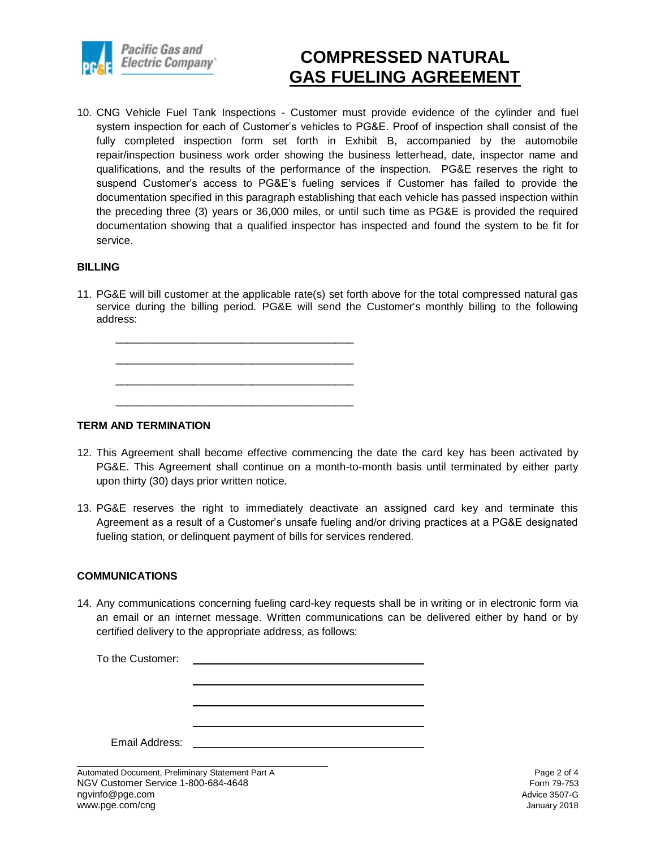

10. CNG Vehicle Fuel Tank Inspections - Customer must provide evidence of the cylinder and fuel system inspection for each of Customer's vehicles to PG&E. Proof of inspection shall consist of the fully completed inspection form set forth in Exhibit B, accompanied by the automobile repair/inspection business work order showing the business letterhead, date, inspector name and qualifications, and the results of the performance of the inspection. PG&E reserves the right to suspend Customer's access to PG&E's fueling services if Customer has failed to provide the documentation specified in this paragraph establishing that each vehicle has passed inspection within the preceding three (3) years or 36,000 miles, or until such time as PG&E is provided the required documentation showing that a qualified inspector has inspected and found the system to be fit for service.

#### **BILLING**

11. PG&E will bill customer at the applicable rate(s) set forth above for the total compressed natural gas service during the billing period. PG&E will send the Customer's monthly billing to the following address:

\_\_\_\_\_\_\_\_\_\_\_\_\_\_\_\_\_\_\_\_\_\_\_\_\_\_\_\_\_\_\_\_\_\_\_\_\_\_\_\_ \_\_\_\_\_\_\_\_\_\_\_\_\_\_\_\_\_\_\_\_\_\_\_\_\_\_\_\_\_\_\_\_\_\_\_\_\_\_\_\_ \_\_\_\_\_\_\_\_\_\_\_\_\_\_\_\_\_\_\_\_\_\_\_\_\_\_\_\_\_\_\_\_\_\_\_\_\_\_\_\_

\_\_\_\_\_\_\_\_\_\_\_\_\_\_\_\_\_\_\_\_\_\_\_\_\_\_\_\_\_\_\_\_\_\_\_\_\_\_\_\_

#### **TERM AND TERMINATION**

- 12. This Agreement shall become effective commencing the date the card key has been activated by PG&E. This Agreement shall continue on a month-to-month basis until terminated by either party upon thirty (30) days prior written notice.
- 13. PG&E reserves the right to immediately deactivate an assigned card key and terminate this Agreement as a result of a Customer's unsafe fueling and/or driving practices at a PG&E designated fueling station, or delinquent payment of bills for services rendered.

#### **COMMUNICATIONS**

14. Any communications concerning fueling card-key requests shall be in writing or in electronic form via an email or an internet message. Written communications can be delivered either by hand or by certified delivery to the appropriate address, as follows:

To the Customer: Email Address:

Automated Document, Preliminary Statement Part A **Page 2 of 4** Page 2 of 4 NGV Customer Service 1-800-684-4648 Form 79-753 ngvinfo@pge.com Advice 3507-G www.pge.com/cng January 2018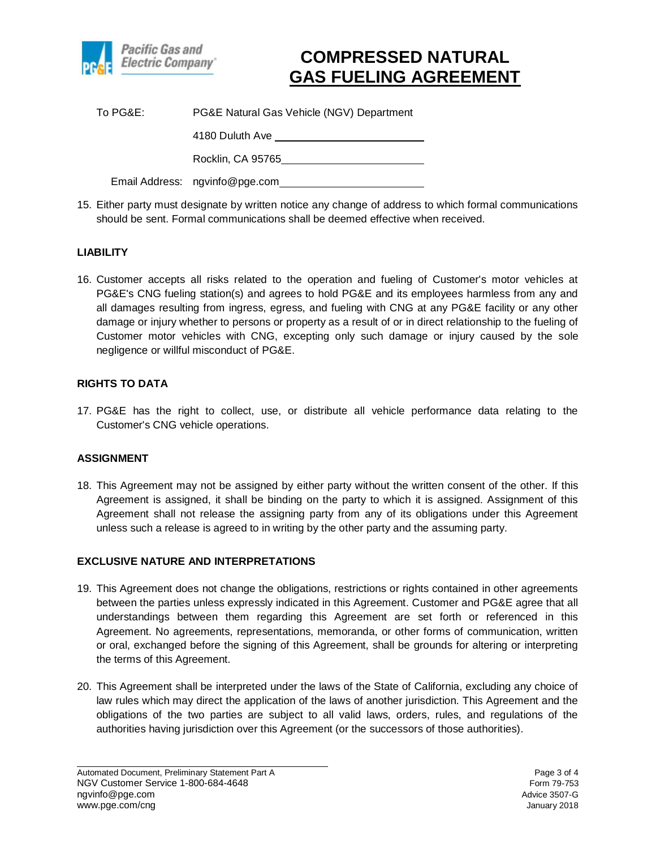

| To PG&E: | PG&E Natural Gas Vehicle (NGV) Department |
|----------|-------------------------------------------|
|          | 4180 Duluth Ave                           |
|          | Rocklin, CA 95765                         |
|          | Email Address: ngvinfo@pge.com            |

15. Either party must designate by written notice any change of address to which formal communications should be sent. Formal communications shall be deemed effective when received.

### **LIABILITY**

16. Customer accepts all risks related to the operation and fueling of Customer's motor vehicles at PG&E's CNG fueling station(s) and agrees to hold PG&E and its employees harmless from any and all damages resulting from ingress, egress, and fueling with CNG at any PG&E facility or any other damage or injury whether to persons or property as a result of or in direct relationship to the fueling of Customer motor vehicles with CNG, excepting only such damage or injury caused by the sole negligence or willful misconduct of PG&E.

#### **RIGHTS TO DATA**

17. PG&E has the right to collect, use, or distribute all vehicle performance data relating to the Customer's CNG vehicle operations.

#### **ASSIGNMENT**

18. This Agreement may not be assigned by either party without the written consent of the other. If this Agreement is assigned, it shall be binding on the party to which it is assigned. Assignment of this Agreement shall not release the assigning party from any of its obligations under this Agreement unless such a release is agreed to in writing by the other party and the assuming party.

#### **EXCLUSIVE NATURE AND INTERPRETATIONS**

- 19. This Agreement does not change the obligations, restrictions or rights contained in other agreements between the parties unless expressly indicated in this Agreement. Customer and PG&E agree that all understandings between them regarding this Agreement are set forth or referenced in this Agreement. No agreements, representations, memoranda, or other forms of communication, written or oral, exchanged before the signing of this Agreement, shall be grounds for altering or interpreting the terms of this Agreement.
- 20. This Agreement shall be interpreted under the laws of the State of California, excluding any choice of law rules which may direct the application of the laws of another jurisdiction. This Agreement and the obligations of the two parties are subject to all valid laws, orders, rules, and regulations of the authorities having jurisdiction over this Agreement (or the successors of those authorities).